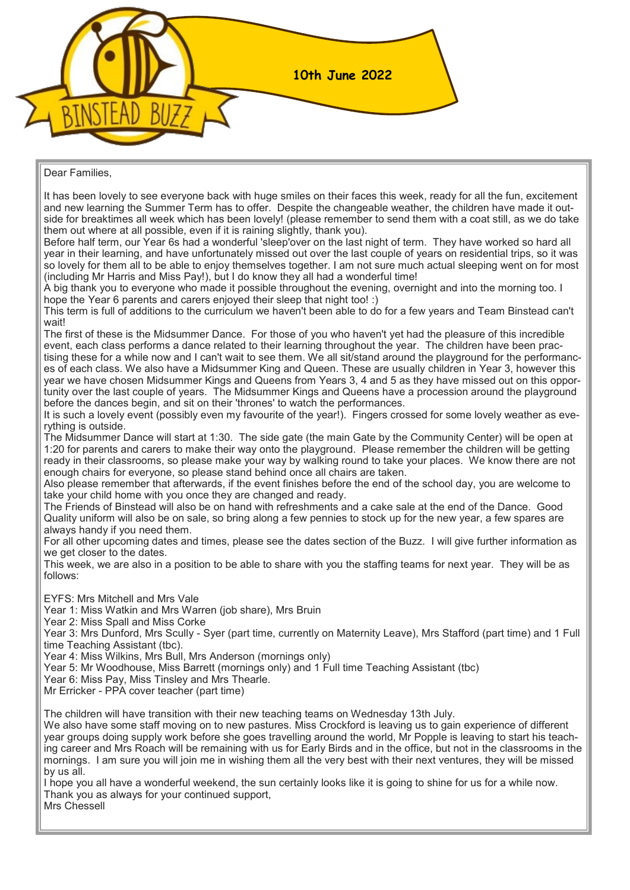

#### Dear Families,

It has been lovely to see everyone back with huge smiles on their faces this week, ready for all the fun, excitement and new learning the Summer Term has to offer. Despite the changeable weather, the children have made it outside for breaktimes all week which has been lovely! (please remember to send them with a coat still, as we do take them out where at all possible, even if it is raining slightly, thank you).

Before half term, our Year 6s had a wonderful 'sleep'over on the last night of term. They have worked so hard all year in their learning, and have unfortunately missed out over the last couple of years on residential trips, so it was so lovely for them all to be able to enjoy themselves together. I am not sure much actual sleeping went on for most (including Mr Harris and Miss Pay!), but I do know they all had a wonderful time!

A big thank you to everyone who made it possible throughout the evening, overnight and into the morning too. I hope the Year 6 parents and carers enjoyed their sleep that night too! :)

This term is full of additions to the curriculum we haven't been able to do for a few years and Team Binstead can't wait!

The first of these is the Midsummer Dance. For those of you who haven't yet had the pleasure of this incredible event, each class performs a dance related to their learning throughout the year. The children have been practising these for a while now and I can't wait to see them. We all sit/stand around the playground for the performances of each class. We also have a Midsummer King and Queen. These are usually children in Year 3, however this year we have chosen Midsummer Kings and Queens from Years 3, 4 and 5 as they have missed out on this opportunity over the last couple of years. The Midsummer Kings and Queens have a procession around the playground before the dances begin, and sit on their 'thrones' to watch the performances.

It is such a lovely event (possibly even my favourite of the year!). Fingers crossed for some lovely weather as everything is outside.

The Midsummer Dance will start at 1:30. The side gate (the main Gate by the Community Center) will be open at 1:20 for parents and carers to make their way onto the playground. Please remember the children will be getting ready in their classrooms, so please make your way by walking round to take your places. We know there are not enough chairs for everyone, so please stand behind once all chairs are taken.

Also please remember that afterwards, if the event finishes before the end of the school day, you are welcome to take your child home with you once they are changed and ready.

The Friends of Binstead will also be on hand with refreshments and a cake sale at the end of the Dance. Good Quality uniform will also be on sale, so bring along a few pennies to stock up for the new year, a few spares are always handy if you need them.

For all other upcoming dates and times, please see the dates section of the Buzz. I will give further information as we get closer to the dates.

This week, we are also in a position to be able to share with you the staffing teams for next year. They will be as follows:

EYFS: Mrs Mitchell and Mrs Vale

Year 1: Miss Watkin and Mrs Warren (job share), Mrs Bruin

Year 2: Miss Spall and Miss Corke

Year 3: Mrs Dunford, Mrs Scully - Syer (part time, currently on Maternity Leave), Mrs Stafford (part time) and 1 Full time Teaching Assistant (tbc).

Year 4: Miss Wilkins, Mrs Bull, Mrs Anderson (mornings only)

Year 5: Mr Woodhouse, Miss Barrett (mornings only) and 1 Full time Teaching Assistant (tbc)

Year 6: Miss Pay, Miss Tinsley and Mrs Thearle.

Mr Erricker - PPA cover teacher (part time)

The children will have transition with their new teaching teams on Wednesday 13th July.

We also have some staff moving on to new pastures. Miss Crockford is leaving us to gain experience of different year groups doing supply work before she goes travelling around the world, Mr Popple is leaving to start his teaching career and Mrs Roach will be remaining with us for Early Birds and in the office, but not in the classrooms in the mornings. I am sure you will join me in wishing them all the very best with their next ventures, they will be missed by us all.

I hope you all have a wonderful weekend, the sun certainly looks like it is going to shine for us for a while now. Thank you as always for your continued support,

Mrs Chessell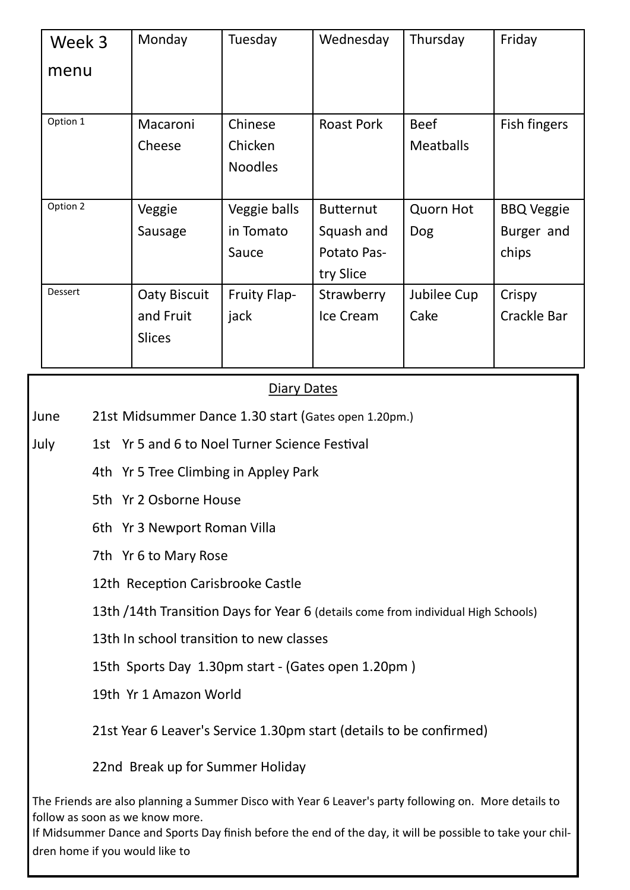| Week 3         | Monday              | Tuesday             | Wednesday         | Thursday         | Friday            |
|----------------|---------------------|---------------------|-------------------|------------------|-------------------|
| menu           |                     |                     |                   |                  |                   |
|                |                     |                     |                   |                  |                   |
| Option 1       | Macaroni            | Chinese             | <b>Roast Pork</b> | <b>Beef</b>      | Fish fingers      |
|                | Cheese              | Chicken             |                   | <b>Meatballs</b> |                   |
|                |                     | <b>Noodles</b>      |                   |                  |                   |
|                |                     |                     |                   |                  |                   |
| Option 2       | Veggie              | Veggie balls        | <b>Butternut</b>  | Quorn Hot        | <b>BBQ Veggie</b> |
|                | Sausage             | in Tomato           | Squash and        | <b>Dog</b>       | Burger and        |
|                |                     | Sauce               | Potato Pas-       |                  | chips             |
|                |                     |                     | try Slice         |                  |                   |
| <b>Dessert</b> | <b>Oaty Biscuit</b> | <b>Fruity Flap-</b> | Strawberry        | Jubilee Cup      | Crispy            |
|                | and Fruit           | jack                | Ice Cream         | Cake             | Crackle Bar       |
|                | <b>Slices</b>       |                     |                   |                  |                   |
|                |                     |                     |                   |                  |                   |

### Diary Dates

June 21st Midsummer Dance 1.30 start (Gates open 1.20pm.)

- July 1st Yr 5 and 6 to Noel Turner Science Festival
	- 4th Yr 5 Tree Climbing in Appley Park
	- 5th Yr 2 Osborne House
	- 6th Yr 3 Newport Roman Villa
	- 7th Yr 6 to Mary Rose
	- 12th Reception Carisbrooke Castle

13th /14th Transition Days for Year 6 (details come from individual High Schools)

13th In school transition to new classes

15th Sports Day 1.30pm start - (Gates open 1.20pm )

19th Yr 1 Amazon World

21st Year 6 Leaver's Service 1.30pm start (details to be confirmed)

22nd Break up for Summer Holiday

The Friends are also planning a Summer Disco with Year 6 Leaver's party following on. More details to follow as soon as we know more.

If Midsummer Dance and Sports Day finish before the end of the day, it will be possible to take your children home if you would like to